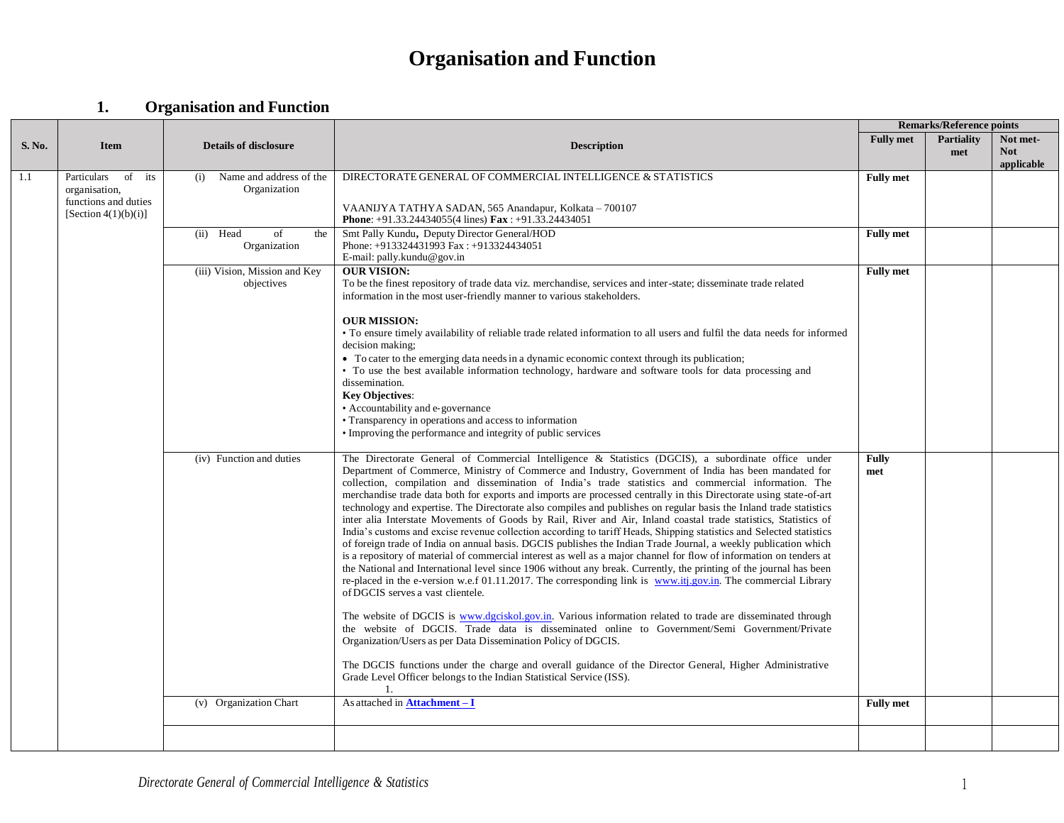|               |                                                                                              |                                                |                                                                                                                                                                                                                                                                                                                                                                                                                                                                                                                                                                                                                                                                                                                                                                                                                                                                                                                                                                                                                                                                                                                                                                                                                                                                                                                                                                                                                                                                                                                                                                                                                                                                                                                                                                                                             | <b>Remarks/Reference points</b> |                          |                                      |  |  |
|---------------|----------------------------------------------------------------------------------------------|------------------------------------------------|-------------------------------------------------------------------------------------------------------------------------------------------------------------------------------------------------------------------------------------------------------------------------------------------------------------------------------------------------------------------------------------------------------------------------------------------------------------------------------------------------------------------------------------------------------------------------------------------------------------------------------------------------------------------------------------------------------------------------------------------------------------------------------------------------------------------------------------------------------------------------------------------------------------------------------------------------------------------------------------------------------------------------------------------------------------------------------------------------------------------------------------------------------------------------------------------------------------------------------------------------------------------------------------------------------------------------------------------------------------------------------------------------------------------------------------------------------------------------------------------------------------------------------------------------------------------------------------------------------------------------------------------------------------------------------------------------------------------------------------------------------------------------------------------------------------|---------------------------------|--------------------------|--------------------------------------|--|--|
| <b>S. No.</b> | <b>Item</b>                                                                                  | <b>Details of disclosure</b>                   | <b>Description</b>                                                                                                                                                                                                                                                                                                                                                                                                                                                                                                                                                                                                                                                                                                                                                                                                                                                                                                                                                                                                                                                                                                                                                                                                                                                                                                                                                                                                                                                                                                                                                                                                                                                                                                                                                                                          | <b>Fully</b> met                | <b>Partiality</b><br>met | Not met-<br><b>Not</b><br>applicable |  |  |
| 1.1           | Particulars<br>of<br>its<br>organisation,<br>functions and duties<br>[Section $4(1)(b)(i)$ ] | Name and address of the<br>(i)<br>Organization | DIRECTORATE GENERAL OF COMMERCIAL INTELLIGENCE & STATISTICS<br>VAANIJYA TATHYA SADAN, 565 Anandapur, Kolkata – 700107<br><b>Phone:</b> +91.33.24434055(4 lines) $\textbf{Fax}:$ +91.33.24434051                                                                                                                                                                                                                                                                                                                                                                                                                                                                                                                                                                                                                                                                                                                                                                                                                                                                                                                                                                                                                                                                                                                                                                                                                                                                                                                                                                                                                                                                                                                                                                                                             | <b>Fully</b> met                |                          |                                      |  |  |
|               |                                                                                              | (ii) Head<br>of<br>the<br>Organization         | Smt Pally Kundu, Deputy Director General/HOD<br>Phone: +913324431993 Fax: +913324434051<br>E-mail: pally.kundu@gov.in                                                                                                                                                                                                                                                                                                                                                                                                                                                                                                                                                                                                                                                                                                                                                                                                                                                                                                                                                                                                                                                                                                                                                                                                                                                                                                                                                                                                                                                                                                                                                                                                                                                                                       | <b>Fully</b> met                |                          |                                      |  |  |
|               |                                                                                              | (iii) Vision, Mission and Key<br>objectives    | <b>OUR VISION:</b><br>To be the finest repository of trade data viz. merchandise, services and inter-state; disseminate trade related<br>information in the most user-friendly manner to various stakeholders.<br><b>OUR MISSION:</b><br>• To ensure timely availability of reliable trade related information to all users and fulfil the data needs for informed<br>decision making:<br>• To cater to the emerging data needs in a dynamic economic context through its publication;<br>• To use the best available information technology, hardware and software tools for data processing and<br>dissemination.<br><b>Key Objectives:</b><br>• Accountability and e-governance<br>• Transparency in operations and access to information<br>• Improving the performance and integrity of public services                                                                                                                                                                                                                                                                                                                                                                                                                                                                                                                                                                                                                                                                                                                                                                                                                                                                                                                                                                                                | <b>Fully</b> met                |                          |                                      |  |  |
|               |                                                                                              | (iv) Function and duties                       | The Directorate General of Commercial Intelligence & Statistics (DGCIS), a subordinate office under<br>Department of Commerce, Ministry of Commerce and Industry, Government of India has been mandated for<br>collection, compilation and dissemination of India's trade statistics and commercial information. The<br>merchandise trade data both for exports and imports are processed centrally in this Directorate using state-of-art<br>technology and expertise. The Directorate also compiles and publishes on regular basis the Inland trade statistics<br>inter alia Interstate Movements of Goods by Rail, River and Air, Inland coastal trade statistics, Statistics of<br>India's customs and excise revenue collection according to tariff Heads, Shipping statistics and Selected statistics<br>of foreign trade of India on annual basis. DGCIS publishes the Indian Trade Journal, a weekly publication which<br>is a repository of material of commercial interest as well as a major channel for flow of information on tenders at<br>the National and International level since 1906 without any break. Currently, the printing of the journal has been<br>re-placed in the e-version w.e.f 01.11.2017. The corresponding link is www.itj.gov.in. The commercial Library<br>of DGCIS serves a vast clientele.<br>The website of DGCIS is www.dgciskol.gov.in. Various information related to trade are disseminated through<br>the website of DGCIS. Trade data is disseminated online to Government/Semi Government/Private<br>Organization/Users as per Data Dissemination Policy of DGCIS.<br>The DGCIS functions under the charge and overall guidance of the Director General, Higher Administrative<br>Grade Level Officer belongs to the Indian Statistical Service (ISS).<br>1. | Fully<br>met                    |                          |                                      |  |  |
|               |                                                                                              | (v) Organization Chart                         | As attached in <b>Attachment - I</b>                                                                                                                                                                                                                                                                                                                                                                                                                                                                                                                                                                                                                                                                                                                                                                                                                                                                                                                                                                                                                                                                                                                                                                                                                                                                                                                                                                                                                                                                                                                                                                                                                                                                                                                                                                        | <b>Fully met</b>                |                          |                                      |  |  |
|               |                                                                                              |                                                |                                                                                                                                                                                                                                                                                                                                                                                                                                                                                                                                                                                                                                                                                                                                                                                                                                                                                                                                                                                                                                                                                                                                                                                                                                                                                                                                                                                                                                                                                                                                                                                                                                                                                                                                                                                                             |                                 |                          |                                      |  |  |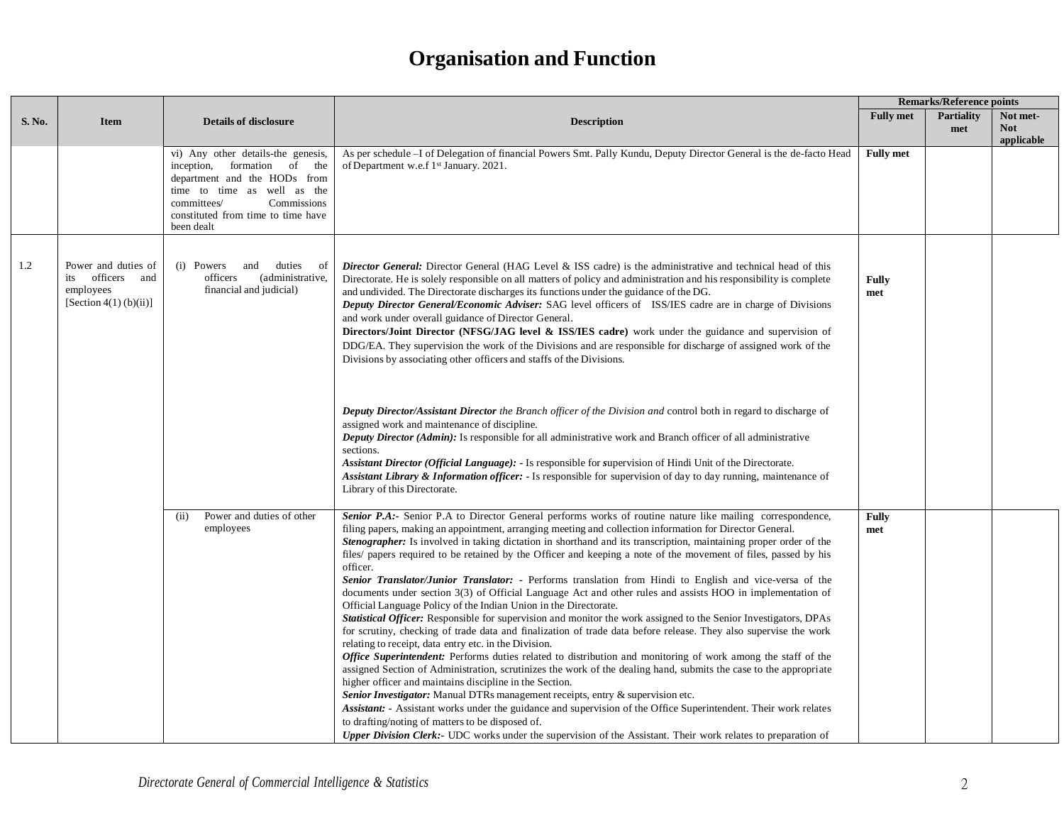|        |                                                                                   |                                                                                                                                                                                                                    |                                                                                                                                                                                                                                                                                                                                                                                                                                                                                                                                                                                                                                                                                                                                                                                                                                                                                                                                                                                                                                                                                                                                                                                                                                                                                                                                                                                                                                                                                                                                                                                                                                                                                                                                                                  | <b>Remarks/Reference points</b> |                          |                                      |  |  |
|--------|-----------------------------------------------------------------------------------|--------------------------------------------------------------------------------------------------------------------------------------------------------------------------------------------------------------------|------------------------------------------------------------------------------------------------------------------------------------------------------------------------------------------------------------------------------------------------------------------------------------------------------------------------------------------------------------------------------------------------------------------------------------------------------------------------------------------------------------------------------------------------------------------------------------------------------------------------------------------------------------------------------------------------------------------------------------------------------------------------------------------------------------------------------------------------------------------------------------------------------------------------------------------------------------------------------------------------------------------------------------------------------------------------------------------------------------------------------------------------------------------------------------------------------------------------------------------------------------------------------------------------------------------------------------------------------------------------------------------------------------------------------------------------------------------------------------------------------------------------------------------------------------------------------------------------------------------------------------------------------------------------------------------------------------------------------------------------------------------|---------------------------------|--------------------------|--------------------------------------|--|--|
| S. No. | Item                                                                              | <b>Details of disclosure</b>                                                                                                                                                                                       | <b>Description</b>                                                                                                                                                                                                                                                                                                                                                                                                                                                                                                                                                                                                                                                                                                                                                                                                                                                                                                                                                                                                                                                                                                                                                                                                                                                                                                                                                                                                                                                                                                                                                                                                                                                                                                                                               | <b>Fully met</b>                | <b>Partiality</b><br>met | Not met-<br><b>Not</b><br>applicable |  |  |
|        |                                                                                   | vi) Any other details-the genesis,<br>inception, formation of the<br>department and the HODs from<br>time to time as well as the<br>committees/<br>Commissions<br>constituted from time to time have<br>been dealt | As per schedule -I of Delegation of financial Powers Smt. Pally Kundu, Deputy Director General is the de-facto Head<br>of Department w.e.f 1 <sup>st</sup> January. 2021.                                                                                                                                                                                                                                                                                                                                                                                                                                                                                                                                                                                                                                                                                                                                                                                                                                                                                                                                                                                                                                                                                                                                                                                                                                                                                                                                                                                                                                                                                                                                                                                        | <b>Fully met</b>                |                          |                                      |  |  |
| 1.2    | Power and duties of<br>officers and<br>its<br>employees<br>[Section 4(1) (b)(ii)] | (i) Powers<br>duties of<br>and<br>(administrative,<br>officers<br>financial and judicial)                                                                                                                          | <b>Director General:</b> Director General (HAG Level & ISS cadre) is the administrative and technical head of this<br>Directorate. He is solely responsible on all matters of policy and administration and his responsibility is complete<br>and undivided. The Directorate discharges its functions under the guidance of the DG.<br>Deputy Director General/Economic Adviser: SAG level officers of ISS/IES cadre are in charge of Divisions<br>and work under overall guidance of Director General.<br>Directors/Joint Director (NFSG/JAG level & ISS/IES cadre) work under the guidance and supervision of<br>DDG/EA. They supervision the work of the Divisions and are responsible for discharge of assigned work of the<br>Divisions by associating other officers and staffs of the Divisions.                                                                                                                                                                                                                                                                                                                                                                                                                                                                                                                                                                                                                                                                                                                                                                                                                                                                                                                                                          | Fully<br>met                    |                          |                                      |  |  |
|        |                                                                                   |                                                                                                                                                                                                                    | Deputy Director/Assistant Director the Branch officer of the Division and control both in regard to discharge of<br>assigned work and maintenance of discipline.<br><b>Deputy Director (Admin):</b> Is responsible for all administrative work and Branch officer of all administrative<br>sections.<br>Assistant Director (Official Language): - Is responsible for supervision of Hindi Unit of the Directorate.<br>Assistant Library & Information officer: - Is responsible for supervision of day to day running, maintenance of<br>Library of this Directorate.                                                                                                                                                                                                                                                                                                                                                                                                                                                                                                                                                                                                                                                                                                                                                                                                                                                                                                                                                                                                                                                                                                                                                                                            |                                 |                          |                                      |  |  |
|        |                                                                                   | Power and duties of other<br>(ii)<br>employees                                                                                                                                                                     | Senior P.A:- Senior P.A to Director General performs works of routine nature like mailing correspondence,<br>filing papers, making an appointment, arranging meeting and collection information for Director General.<br><b>Stenographer:</b> Is involved in taking dictation in shorthand and its transcription, maintaining proper order of the<br>files/ papers required to be retained by the Officer and keeping a note of the movement of files, passed by his<br>officer.<br>Senior Translator/Junior Translator: - Performs translation from Hindi to English and vice-versa of the<br>documents under section 3(3) of Official Language Act and other rules and assists HOO in implementation of<br>Official Language Policy of the Indian Union in the Directorate.<br>Statistical Officer: Responsible for supervision and monitor the work assigned to the Senior Investigators, DPAs<br>for scrutiny, checking of trade data and finalization of trade data before release. They also supervise the work<br>relating to receipt, data entry etc. in the Division.<br><b>Office Superintendent:</b> Performs duties related to distribution and monitoring of work among the staff of the<br>assigned Section of Administration, scrutinizes the work of the dealing hand, submits the case to the appropriate<br>higher officer and maintains discipline in the Section.<br>Senior Investigator: Manual DTRs management receipts, entry & supervision etc.<br>Assistant: - Assistant works under the guidance and supervision of the Office Superintendent. Their work relates<br>to drafting/noting of matters to be disposed of.<br>Upper Division Clerk:- UDC works under the supervision of the Assistant. Their work relates to preparation of | <b>Fully</b><br>met             |                          |                                      |  |  |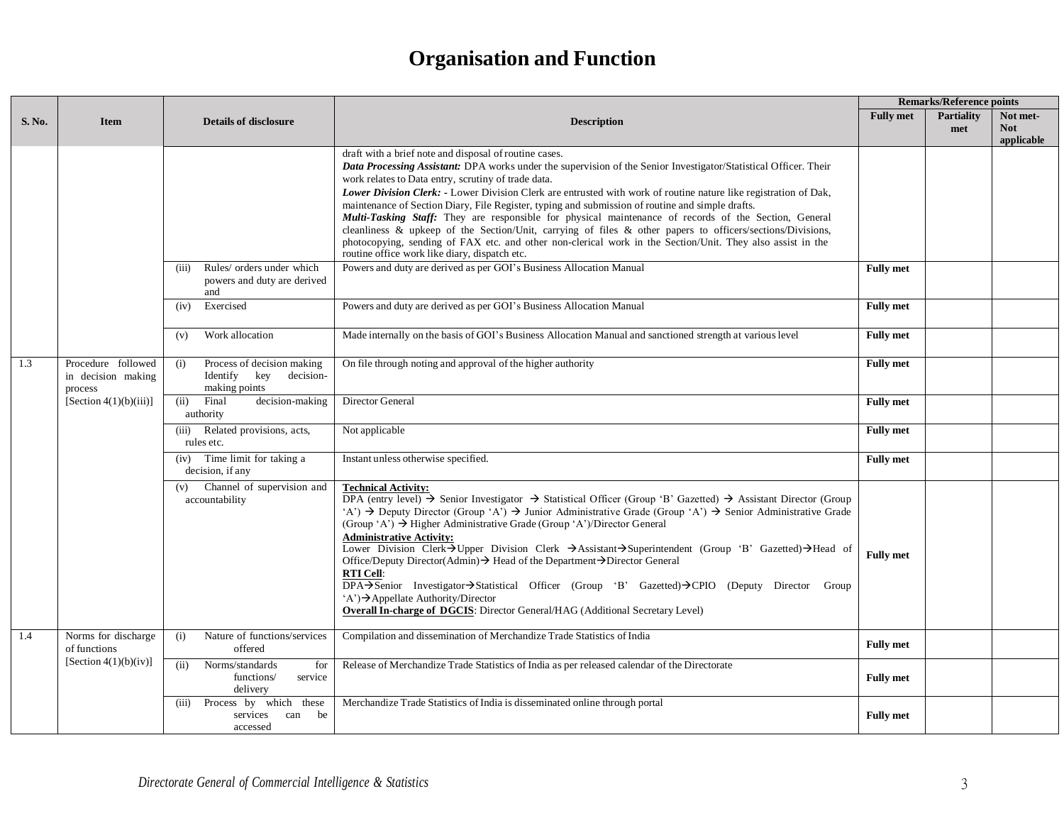|               |                                                     |                                                                                 |                                                                                                                                                                                                                                                                                                                                                                                                                                                                                                                                                                                                                                                                                                                                                                                                                                                                                                                            | <b>Remarks/Reference points</b> |                          |                                      |  |  |
|---------------|-----------------------------------------------------|---------------------------------------------------------------------------------|----------------------------------------------------------------------------------------------------------------------------------------------------------------------------------------------------------------------------------------------------------------------------------------------------------------------------------------------------------------------------------------------------------------------------------------------------------------------------------------------------------------------------------------------------------------------------------------------------------------------------------------------------------------------------------------------------------------------------------------------------------------------------------------------------------------------------------------------------------------------------------------------------------------------------|---------------------------------|--------------------------|--------------------------------------|--|--|
| <b>S. No.</b> | <b>Item</b>                                         | <b>Details of disclosure</b>                                                    | <b>Description</b>                                                                                                                                                                                                                                                                                                                                                                                                                                                                                                                                                                                                                                                                                                                                                                                                                                                                                                         | <b>Fully met</b>                | <b>Partiality</b><br>met | Not met-<br><b>Not</b><br>applicable |  |  |
|               |                                                     |                                                                                 | draft with a brief note and disposal of routine cases.<br>Data Processing Assistant: DPA works under the supervision of the Senior Investigator/Statistical Officer. Their<br>work relates to Data entry, scrutiny of trade data.<br>Lower Division Clerk: - Lower Division Clerk are entrusted with work of routine nature like registration of Dak,<br>maintenance of Section Diary, File Register, typing and submission of routine and simple drafts.<br>Multi-Tasking Staff: They are responsible for physical maintenance of records of the Section, General<br>cleanliness & upkeep of the Section/Unit, carrying of files & other papers to officers/sections/Divisions,<br>photocopying, sending of FAX etc. and other non-clerical work in the Section/Unit. They also assist in the<br>routine office work like diary, dispatch etc.                                                                            |                                 |                          |                                      |  |  |
|               |                                                     | Rules/ orders under which<br>(iii)<br>powers and duty are derived<br>and        | Powers and duty are derived as per GOI's Business Allocation Manual                                                                                                                                                                                                                                                                                                                                                                                                                                                                                                                                                                                                                                                                                                                                                                                                                                                        | <b>Fully</b> met                |                          |                                      |  |  |
|               |                                                     | Exercised<br>(iv)                                                               | Powers and duty are derived as per GOI's Business Allocation Manual                                                                                                                                                                                                                                                                                                                                                                                                                                                                                                                                                                                                                                                                                                                                                                                                                                                        | <b>Fully met</b>                |                          |                                      |  |  |
|               |                                                     | Work allocation<br>(v)                                                          | Made internally on the basis of GOI's Business Allocation Manual and sanctioned strength at various level                                                                                                                                                                                                                                                                                                                                                                                                                                                                                                                                                                                                                                                                                                                                                                                                                  | <b>Fully met</b>                |                          |                                      |  |  |
| 1.3           | Procedure followed<br>in decision making<br>process | Process of decision making<br>(i)<br>Identify key<br>decision-<br>making points | On file through noting and approval of the higher authority                                                                                                                                                                                                                                                                                                                                                                                                                                                                                                                                                                                                                                                                                                                                                                                                                                                                | <b>Fully</b> met                |                          |                                      |  |  |
|               | [Section $4(1)(b)(iii)$ ]                           | Final<br>decision-making<br>(ii)<br>authority                                   | Director General                                                                                                                                                                                                                                                                                                                                                                                                                                                                                                                                                                                                                                                                                                                                                                                                                                                                                                           | <b>Fully</b> met                |                          |                                      |  |  |
|               |                                                     | Related provisions, acts,<br>(iii)<br>rules etc.                                | Not applicable                                                                                                                                                                                                                                                                                                                                                                                                                                                                                                                                                                                                                                                                                                                                                                                                                                                                                                             | <b>Fully</b> met                |                          |                                      |  |  |
|               |                                                     | (iv) Time limit for taking a<br>decision, if any                                | Instant unless otherwise specified.                                                                                                                                                                                                                                                                                                                                                                                                                                                                                                                                                                                                                                                                                                                                                                                                                                                                                        | <b>Fully</b> met                |                          |                                      |  |  |
|               |                                                     | (v) Channel of supervision and<br>accountability                                | <b>Technical Activity:</b><br>$\overrightarrow{DPA}$ (entry level) $\rightarrow$ Senior Investigator $\rightarrow$ Statistical Officer (Group 'B' Gazetted) $\rightarrow$ Assistant Director (Group<br>'A') $\rightarrow$ Deputy Director (Group 'A') $\rightarrow$ Junior Administrative Grade (Group 'A') $\rightarrow$ Senior Administrative Grade<br>(Group 'A') $\rightarrow$ Higher Administrative Grade (Group 'A')/Director General<br><b>Administrative Activity:</b><br>Lower Division Clerk >Upper Division Clerk >Assistant >Superintendent (Group 'B' Gazetted) >Head of<br>Office/Deputy Director(Admin)→ Head of the Department→Director General<br><b>RTI Cell:</b><br>DPA->Senior Investigator->Statistical Officer (Group 'B' Gazetted)->CPIO (Deputy Director Group<br>$(A') \rightarrow$ Appellate Authority/Director<br>Overall In-charge of DGCIS: Director General/HAG (Additional Secretary Level) | <b>Fully met</b>                |                          |                                      |  |  |
| 1.4           | Norms for discharge<br>of functions                 | Nature of functions/services<br>(i)<br>offered                                  | Compilation and dissemination of Merchandize Trade Statistics of India                                                                                                                                                                                                                                                                                                                                                                                                                                                                                                                                                                                                                                                                                                                                                                                                                                                     | <b>Fully met</b>                |                          |                                      |  |  |
|               | [Section $4(1)(b)(iv)$ ]                            | Norms/standards<br>(ii)<br>for<br>functions/<br>service<br>delivery             | Release of Merchandize Trade Statistics of India as per released calendar of the Directorate                                                                                                                                                                                                                                                                                                                                                                                                                                                                                                                                                                                                                                                                                                                                                                                                                               | <b>Fully met</b>                |                          |                                      |  |  |
|               |                                                     | Process by which these<br>(iii)<br>can be<br>services<br>accessed               | Merchandize Trade Statistics of India is disseminated online through portal                                                                                                                                                                                                                                                                                                                                                                                                                                                                                                                                                                                                                                                                                                                                                                                                                                                | <b>Fully met</b>                |                          |                                      |  |  |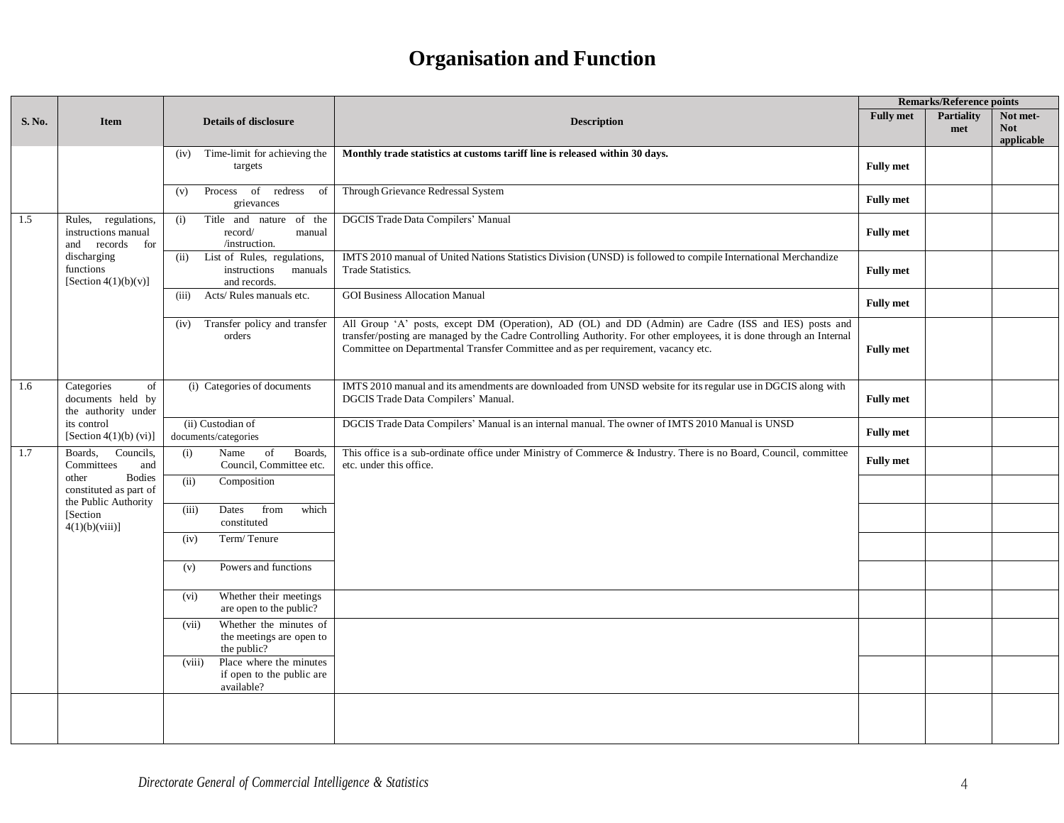|        |                                                                                                                                                    |                                                                                |                                                                                                                                                                                                                                                                                                                   |                  | <b>Remarks/Reference points</b> |                                      |
|--------|----------------------------------------------------------------------------------------------------------------------------------------------------|--------------------------------------------------------------------------------|-------------------------------------------------------------------------------------------------------------------------------------------------------------------------------------------------------------------------------------------------------------------------------------------------------------------|------------------|---------------------------------|--------------------------------------|
| S. No. | <b>Item</b>                                                                                                                                        | <b>Details of disclosure</b>                                                   | <b>Description</b>                                                                                                                                                                                                                                                                                                | <b>Fully met</b> | <b>Partiality</b><br>met        | Not met-<br><b>Not</b><br>applicable |
|        |                                                                                                                                                    | Time-limit for achieving the<br>(iv)<br>targets                                | Monthly trade statistics at customs tariff line is released within 30 days.                                                                                                                                                                                                                                       | <b>Fully met</b> |                                 |                                      |
|        |                                                                                                                                                    | Process of redress<br>of<br>(v)<br>grievances                                  | Through Grievance Redressal System                                                                                                                                                                                                                                                                                | <b>Fully met</b> |                                 |                                      |
| 1.5    | Rules, regulations,<br>instructions manual<br>and records<br>for                                                                                   | Title and nature of the<br>(i)<br>record/<br>manual<br>/instruction.           | DGCIS Trade Data Compilers' Manual                                                                                                                                                                                                                                                                                | <b>Fully met</b> |                                 |                                      |
|        | discharging<br>functions<br>[Section $4(1)(b)(v)$ ]                                                                                                | List of Rules, regulations,<br>(ii)<br>instructions<br>manuals<br>and records. | IMTS 2010 manual of United Nations Statistics Division (UNSD) is followed to compile International Merchandize<br><b>Trade Statistics.</b>                                                                                                                                                                        | <b>Fully met</b> |                                 |                                      |
|        |                                                                                                                                                    | Acts/Rules manuals etc.<br>(iii)                                               | <b>GOI Business Allocation Manual</b>                                                                                                                                                                                                                                                                             | <b>Fully met</b> |                                 |                                      |
|        |                                                                                                                                                    | Transfer policy and transfer<br>(iv)<br>orders                                 | All Group 'A' posts, except DM (Operation), AD (OL) and DD (Admin) are Cadre (ISS and IES) posts and<br>transfer/posting are managed by the Cadre Controlling Authority. For other employees, it is done through an Internal<br>Committee on Departmental Transfer Committee and as per requirement, vacancy etc. | <b>Fully met</b> |                                 |                                      |
| 1.6    | of<br>Categories<br>documents held by<br>the authority under<br>its control<br>[Section $4(1)(b)$ (vi)]                                            | (i) Categories of documents                                                    | IMTS 2010 manual and its amendments are downloaded from UNSD website for its regular use in DGCIS along with<br>DGCIS Trade Data Compilers' Manual.                                                                                                                                                               | <b>Fully met</b> |                                 |                                      |
|        |                                                                                                                                                    | (ii) Custodian of<br>documents/categories                                      | DGCIS Trade Data Compilers' Manual is an internal manual. The owner of IMTS 2010 Manual is UNSD                                                                                                                                                                                                                   | <b>Fully met</b> |                                 |                                      |
| 1.7    | Councils,<br>Boards,<br>Committees<br>and<br><b>Bodies</b><br>other<br>constituted as part of<br>the Public Authority<br>[Section<br>4(1)(b)(viii) | Name<br>of<br>Boards,<br>(i)<br>Council, Committee etc.                        | This office is a sub-ordinate office under Ministry of Commerce & Industry. There is no Board, Council, committee<br>etc. under this office.                                                                                                                                                                      | <b>Fully met</b> |                                 |                                      |
|        |                                                                                                                                                    | (ii)<br>Composition                                                            |                                                                                                                                                                                                                                                                                                                   |                  |                                 |                                      |
|        |                                                                                                                                                    | Dates<br>from<br>which<br>(iii)<br>constituted                                 |                                                                                                                                                                                                                                                                                                                   |                  |                                 |                                      |
|        |                                                                                                                                                    | Term/Tenure<br>(iv)                                                            |                                                                                                                                                                                                                                                                                                                   |                  |                                 |                                      |
|        |                                                                                                                                                    | Powers and functions<br>(v)                                                    |                                                                                                                                                                                                                                                                                                                   |                  |                                 |                                      |
|        |                                                                                                                                                    | Whether their meetings<br>(vi)<br>are open to the public?                      |                                                                                                                                                                                                                                                                                                                   |                  |                                 |                                      |
|        |                                                                                                                                                    | Whether the minutes of<br>(vii)<br>the meetings are open to<br>the public?     |                                                                                                                                                                                                                                                                                                                   |                  |                                 |                                      |
|        |                                                                                                                                                    | Place where the minutes<br>(viii)<br>if open to the public are<br>available?   |                                                                                                                                                                                                                                                                                                                   |                  |                                 |                                      |
|        |                                                                                                                                                    |                                                                                |                                                                                                                                                                                                                                                                                                                   |                  |                                 |                                      |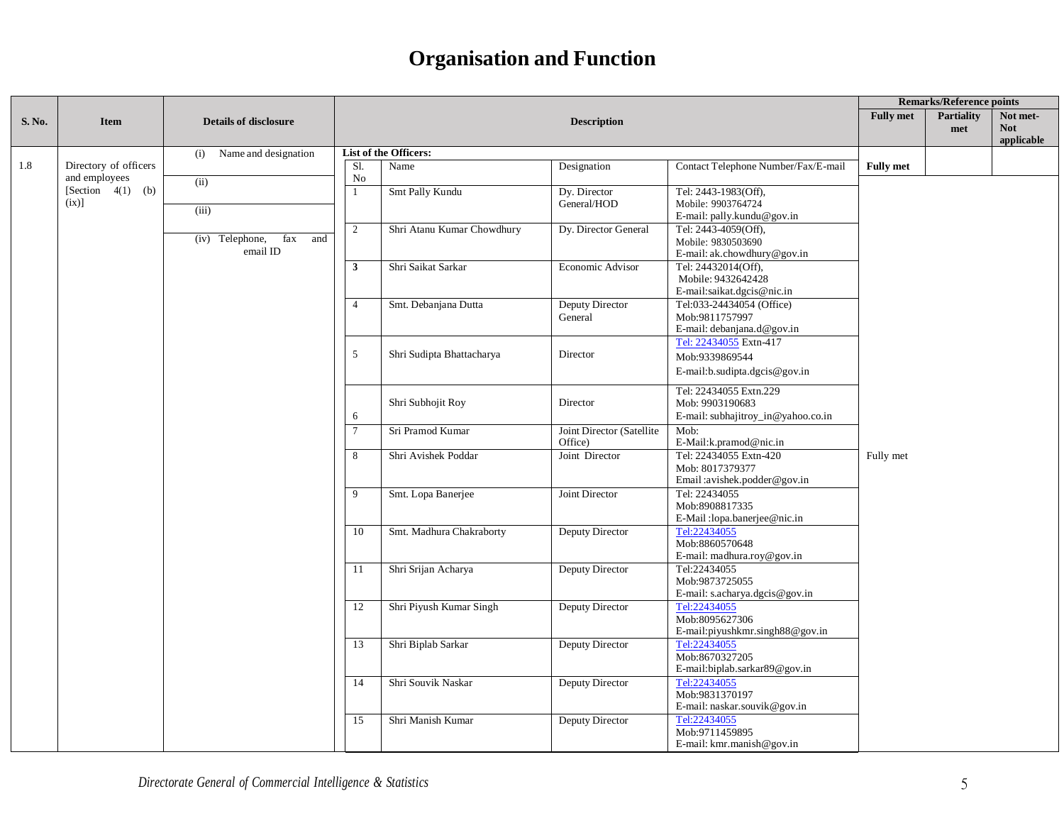|        |                                        |                                             |                         |                              |                                      | <b>Remarks/Reference points</b>                                                 |                                      |  |  |
|--------|----------------------------------------|---------------------------------------------|-------------------------|------------------------------|--------------------------------------|---------------------------------------------------------------------------------|--------------------------------------|--|--|
| S. No. | <b>Item</b>                            | <b>Details of disclosure</b>                |                         |                              | <b>Fully met</b>                     | <b>Partiality</b><br>met                                                        | Not met-<br><b>Not</b><br>applicable |  |  |
|        |                                        | Name and designation<br>(i)                 |                         | <b>List of the Officers:</b> |                                      |                                                                                 |                                      |  |  |
| 1.8    | Directory of officers<br>and employees | (ii)                                        | SI.<br>No               | Name                         | Designation                          | Contact Telephone Number/Fax/E-mail                                             | <b>Fully met</b>                     |  |  |
|        | [Section $4(1)$ (b)<br>(ix)]           | (iii)                                       |                         | Smt Pally Kundu              | Dy. Director<br>General/HOD          | Tel: 2443-1983(Off),<br>Mobile: 9903764724<br>E-mail: pally.kundu@gov.in        |                                      |  |  |
|        |                                        | $(iv)$ Telephone,<br>fax<br>and<br>email ID | 2                       | Shri Atanu Kumar Chowdhury   | Dy. Director General                 | Tel: 2443-4059(Off),<br>Mobile: 9830503690<br>E-mail: ak.chowdhury@gov.in       |                                      |  |  |
|        |                                        |                                             | $\overline{\mathbf{3}}$ | Shri Saikat Sarkar           | Economic Advisor                     | Tel: 24432014(Off),<br>Mobile: 9432642428<br>E-mail:saikat.dgcis@nic.in         |                                      |  |  |
|        |                                        |                                             | $\overline{4}$          | Smt. Debanjana Dutta         | <b>Deputy Director</b><br>General    | Tel:033-24434054 (Office)<br>Mob:9811757997<br>E-mail: debanjana.d@gov.in       |                                      |  |  |
|        |                                        |                                             | 5                       | Shri Sudipta Bhattacharya    | Director                             | Tel: 22434055 Extn-417<br>Mob:9339869544<br>E-mail:b.sudipta.dgcis@gov.in       |                                      |  |  |
|        |                                        |                                             | 6                       | Shri Subhojit Roy            | Director                             | Tel: 22434055 Extn.229<br>Mob: 9903190683<br>E-mail: subhajitroy_in@yahoo.co.in |                                      |  |  |
|        |                                        |                                             | $7\overline{ }$         | Sri Pramod Kumar             | Joint Director (Satellite<br>Office) | Mob:<br>E-Mail:k.pramod@nic.in                                                  |                                      |  |  |
|        |                                        |                                             | 8                       | Shri Avishek Poddar          | Joint Director                       | Tel: 22434055 Extn-420<br>Mob: 8017379377<br>Email: avishek.podder@gov.in       | Fully met                            |  |  |
|        |                                        |                                             | 9                       | Smt. Lopa Banerjee           | Joint Director                       | Tel: 22434055<br>Mob:8908817335<br>E-Mail:lopa.banerjee@nic.in                  |                                      |  |  |
|        |                                        |                                             | 10                      | Smt. Madhura Chakraborty     | <b>Deputy Director</b>               | Tel:22434055<br>Mob:8860570648<br>E-mail: madhura.roy@gov.in                    |                                      |  |  |
|        |                                        | 11<br>12                                    |                         | Shri Srijan Acharya          | <b>Deputy Director</b>               | Tel:22434055<br>Mob:9873725055<br>E-mail: s.acharya.dgcis@gov.in                |                                      |  |  |
|        |                                        |                                             |                         | Shri Piyush Kumar Singh      | <b>Deputy Director</b>               | Tel:22434055<br>Mob:8095627306<br>E-mail: piyushkmr.singh $88@$ gov.in          |                                      |  |  |
|        |                                        |                                             | 13                      | Shri Biplab Sarkar           | Deputy Director                      | Tel:22434055<br>Mob:8670327205<br>E-mail:biplab.sarkar89@gov.in                 |                                      |  |  |
|        |                                        |                                             | 14                      | Shri Souvik Naskar           | Deputy Director                      | Tel:22434055<br>Mob:9831370197<br>E-mail: naskar.souvik@gov.in                  |                                      |  |  |
|        |                                        |                                             | 15                      | Shri Manish Kumar            | Deputy Director                      | Tel:22434055<br>Mob:9711459895<br>E-mail: kmr.manish@gov.in                     |                                      |  |  |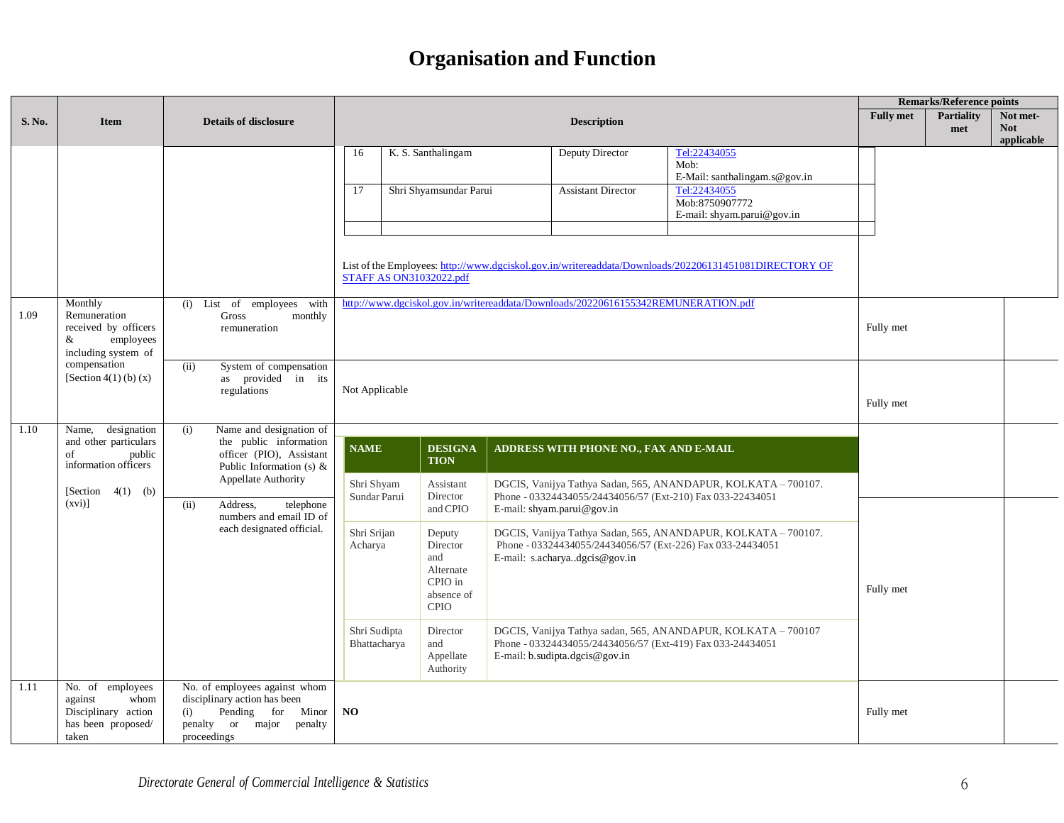|        |                                                                                           |                                                                                                                                                                                                                                                                   |                                                                                                                                                                                                                                                                                                                                                                              |                                                                                |  | <b>Remarks/Reference points</b>                                                   |                                                                                                                              |                  |                          |                                      |
|--------|-------------------------------------------------------------------------------------------|-------------------------------------------------------------------------------------------------------------------------------------------------------------------------------------------------------------------------------------------------------------------|------------------------------------------------------------------------------------------------------------------------------------------------------------------------------------------------------------------------------------------------------------------------------------------------------------------------------------------------------------------------------|--------------------------------------------------------------------------------|--|-----------------------------------------------------------------------------------|------------------------------------------------------------------------------------------------------------------------------|------------------|--------------------------|--------------------------------------|
| S. No. | <b>Item</b>                                                                               | <b>Details of disclosure</b>                                                                                                                                                                                                                                      |                                                                                                                                                                                                                                                                                                                                                                              |                                                                                |  | <b>Description</b>                                                                |                                                                                                                              | <b>Fully met</b> | <b>Partiality</b><br>met | Not met-<br><b>Not</b><br>applicable |
|        |                                                                                           |                                                                                                                                                                                                                                                                   | Tel:22434055<br>16<br>K. S. Santhalingam<br>Deputy Director<br>Mob:<br>E-Mail: santhalingam.s@gov.in<br>Tel:22434055<br>17<br>Shri Shyamsundar Parui<br><b>Assistant Director</b><br>Mob:8750907772<br>E-mail: shyam.parui@gov.in<br>List of the Employees: http://www.dgciskol.gov.in/writereaddata/Downloads/202206131451081DIRECTORY OF<br><b>STAFF AS ON31032022.pdf</b> |                                                                                |  |                                                                                   |                                                                                                                              |                  |                          |                                      |
| 1.09   | Monthly<br>Remuneration<br>received by officers<br>employees<br>&<br>including system of  | (i) List of employees with<br>Gross<br>monthly<br>remuneration                                                                                                                                                                                                    |                                                                                                                                                                                                                                                                                                                                                                              |                                                                                |  | http://www.dgciskol.gov.in/writereaddata/Downloads/20220616155342REMUNERATION.pdf |                                                                                                                              | Fully met        |                          |                                      |
|        | compensation<br>[Section 4(1) (b) $(x)$                                                   | System of compensation<br>(ii)<br>as provided in its<br>regulations                                                                                                                                                                                               | Not Applicable                                                                                                                                                                                                                                                                                                                                                               |                                                                                |  |                                                                                   |                                                                                                                              | Fully met        |                          |                                      |
| 1.10   | designation<br>Name,<br>and other particulars<br>of<br>public<br>information officers     | Name and designation of<br>(i)<br>the public information<br>officer (PIO), Assistant<br>Public Information (s) $\&$<br><b>Appellate Authority</b><br>[Section $4(1)$ (b)<br>Address.<br>telephone<br>(ii)<br>numbers and email ID of<br>each designated official. | <b>NAME</b><br>Shri Shyam                                                                                                                                                                                                                                                                                                                                                    | <b>DESIGNA</b><br><b>TION</b><br>Assistant                                     |  | ADDRESS WITH PHONE NO., FAX AND E-MAIL                                            | DGCIS, Vanijya Tathya Sadan, 565, ANANDAPUR, KOLKATA – 700107.                                                               |                  |                          |                                      |
|        | $(xvi)$ ]                                                                                 |                                                                                                                                                                                                                                                                   | Sundar Parui                                                                                                                                                                                                                                                                                                                                                                 | Director<br>and CPIO                                                           |  | E-mail: shyam.parui@gov.in                                                        | Phone - 03324434055/24434056/57 (Ext-210) Fax 033-22434051                                                                   |                  |                          |                                      |
|        |                                                                                           |                                                                                                                                                                                                                                                                   | Shri Srijan<br>Acharya                                                                                                                                                                                                                                                                                                                                                       | Deputy<br>Director<br>and<br>Alternate<br>CPIO in<br>absence of<br><b>CPIO</b> |  | E-mail: s.acharyadgcis@gov.in                                                     | DGCIS, Vanijya Tathya Sadan, 565, ANANDAPUR, KOLKATA - 700107.<br>Phone - 03324434055/24434056/57 (Ext-226) Fax 033-24434051 | Fully met        |                          |                                      |
|        |                                                                                           |                                                                                                                                                                                                                                                                   | Shri Sudipta<br>Bhattacharya                                                                                                                                                                                                                                                                                                                                                 | Director<br>and<br>Appellate<br>Authority                                      |  | E-mail: b.sudipta.dgcis@gov.in                                                    | DGCIS, Vanijya Tathya sadan, 565, ANANDAPUR, KOLKATA – 700107<br>Phone - 03324434055/24434056/57 (Ext-419) Fax 033-24434051  |                  |                          |                                      |
| 1.11   | No. of employees<br>against<br>whom<br>Disciplinary action<br>has been proposed/<br>taken | No. of employees against whom<br>disciplinary action has been<br>Pending for<br>(i)<br>Minor<br>penalty or major<br>penalty<br>proceedings                                                                                                                        | NO                                                                                                                                                                                                                                                                                                                                                                           |                                                                                |  |                                                                                   |                                                                                                                              | Fully met        |                          |                                      |